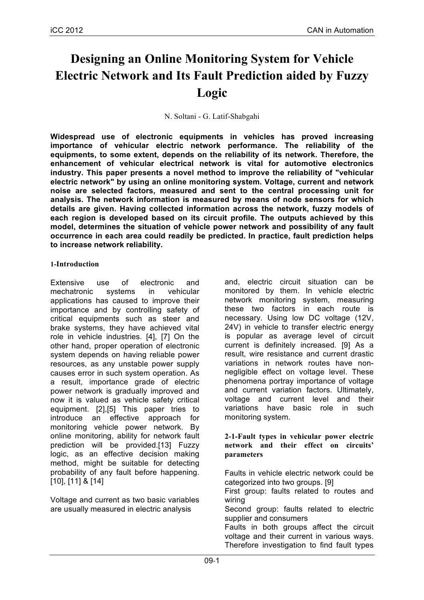# **Designing an Online Monitoring System for Vehicle Electric Network and Its Fault Prediction aided by Fuzzy Logic**

N. Soltani - G. Latif-Shabgahi

**Widespread use of electronic equipments in vehicles has proved increasing importance of vehicular electric network performance. The reliability of the equipments, to some extent, depends on the reliability of its network. Therefore, the enhancement of vehicular electrical network is vital for automotive electronics industry. This paper presents a novel method to improve the reliability of "vehicular electric network" by using an online monitoring system. Voltage, current and network noise are selected factors, measured and sent to the central processing unit for analysis. The network information is measured by means of node sensors for which details are given. Having collected information across the network, fuzzy models of each region is developed based on its circuit profile. The outputs achieved by this model, determines the situation of vehicle power network and possibility of any fault occurrence in each area could readily be predicted. In practice, fault prediction helps to increase network reliability.** 

## **1-Introduction**

Extensive use of electronic and mechatronic systems in vehicular applications has caused to improve their importance and by controlling safety of critical equipments such as steer and brake systems, they have achieved vital role in vehicle industries. [4], [7] On the other hand, proper operation of electronic system depends on having reliable power resources, as any unstable power supply causes error in such system operation. As a result, importance grade of electric power network is gradually improved and now it is valued as vehicle safety critical equipment. [2],[5] This paper tries to introduce an effective approach for monitoring vehicle power network. By online monitoring, ability for network fault prediction will be provided.[13] Fuzzy logic, as an effective decision making method, might be suitable for detecting probability of any fault before happening. [10], [11] & [14]

Voltage and current as two basic variables are usually measured in electric analysis

and, electric circuit situation can be monitored by them. In vehicle electric network monitoring system, measuring these two factors in each route is necessary. Using low DC voltage (12V, 24V) in vehicle to transfer electric energy is popular as average level of circuit current is definitely increased. [9] As a result, wire resistance and current drastic variations in network routes have nonnegligible effect on voltage level. These phenomena portray importance of voltage and current variation factors. Ultimately, voltage and current level and their variations have basic role in such monitoring system.

**2-1-Fault types in vehicular power electric network and their effect on circuits' parameters**

Faults in vehicle electric network could be categorized into two groups. [9]

First group: faults related to routes and wiring

Second group: faults related to electric supplier and consumers

Faults in both groups affect the circuit voltage and their current in various ways. Therefore investigation to find fault types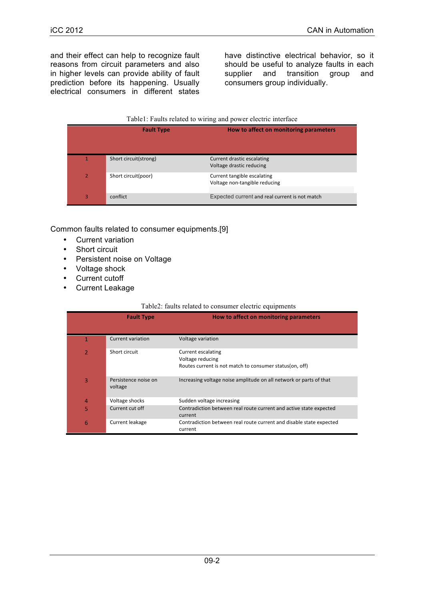and their effect can help to recognize fault reasons from circuit parameters and also in higher levels can provide ability of fault prediction before its happening. Usually electrical consumers in different states

have distinctive electrical behavior, so it should be useful to analyze faults in each supplier and transition group and consumers group individually.

#### Table1: Faults related to wiring and power electric interface

| <b>Fault Type</b>     | How to affect on monitoring parameters                  |
|-----------------------|---------------------------------------------------------|
|                       |                                                         |
| Short circuit(strong) | Current drastic escalating                              |
| Short circuit(poor)   | Voltage drastic reducing<br>Current tangible escalating |
|                       | Voltage non-tangible reducing                           |
| conflict              | Expected current and real current is not match          |

Common faults related to consumer equipments.[9]

- Current variation
- Short circuit
- Persistent noise on Voltage
- Voltage shock
- Current cutoff
- Current Leakage

#### Table2: faults related to consumer electric equipments

| <b>Fault Type</b>               | How to affect on monitoring parameters                                                            |
|---------------------------------|---------------------------------------------------------------------------------------------------|
|                                 |                                                                                                   |
| Current variation               | Voltage variation                                                                                 |
| Short circuit                   | Current escalating<br>Voltage reducing<br>Routes current is not match to consumer status(on, off) |
| Persistence noise on<br>voltage | Increasing voltage noise amplitude on all network or parts of that                                |
| Voltage shocks                  | Sudden voltage increasing                                                                         |
| Current cut off                 | Contradiction between real route current and active state expected<br>current                     |
| Current leakage                 | Contradiction between real route current and disable state expected<br>current                    |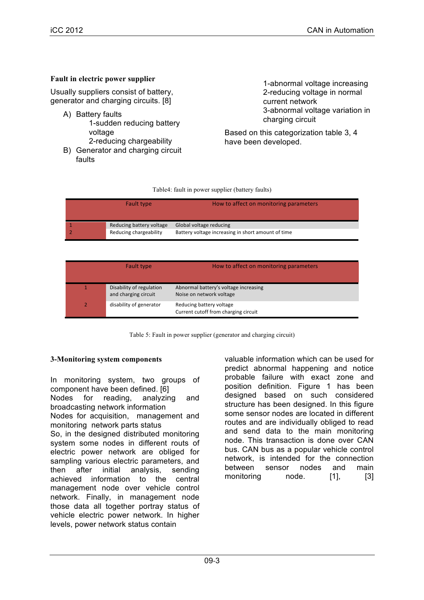## **Fault in electric power supplier**

Usually suppliers consist of battery, generator and charging circuits. [8]

- A) Battery faults 1-sudden reducing battery voltage 2-reducing chargeability
- B) Generator and charging circuit faults

1-abnormal voltage increasing 2-reducing voltage in normal current network 3-abnormal voltage variation in charging circuit

Based on this categorization table 3, 4 have been developed.

| Fault type               | How to affect on monitoring parameters             |
|--------------------------|----------------------------------------------------|
|                          |                                                    |
| Reducing battery voltage | Global voltage reducing                            |
| Reducing chargeability   | Battery voltage increasing in short amount of time |

| Fault type                                       | How to affect on monitoring parameters                            |
|--------------------------------------------------|-------------------------------------------------------------------|
| Disability of regulation<br>and charging circuit | Abnormal battery's voltage increasing<br>Noise on network voltage |
| disability of generator                          | Reducing battery voltage<br>Current cutoff from charging circuit  |

Table 5: Fault in power supplier (generator and charging circuit)

#### **3-Monitoring system components**

In monitoring system, two groups of component have been defined. [6] Nodes for reading, analyzing and broadcasting network information

Nodes for acquisition, management and monitoring network parts status

So, in the designed distributed monitoring system some nodes in different routs of electric power network are obliged for sampling various electric parameters, and then after initial analysis, sending achieved information to the central management node over vehicle control network. Finally, in management node those data all together portray status of vehicle electric power network. In higher levels, power network status contain

valuable information which can be used for predict abnormal happening and notice probable failure with exact zone and position definition. Figure 1 has been designed based on such considered structure has been designed. In this figure some sensor nodes are located in different routes and are individually obliged to read and send data to the main monitoring node. This transaction is done over CAN bus. CAN bus as a popular vehicle control network, is intended for the connection between sensor nodes and main monitoring node. [1], [3]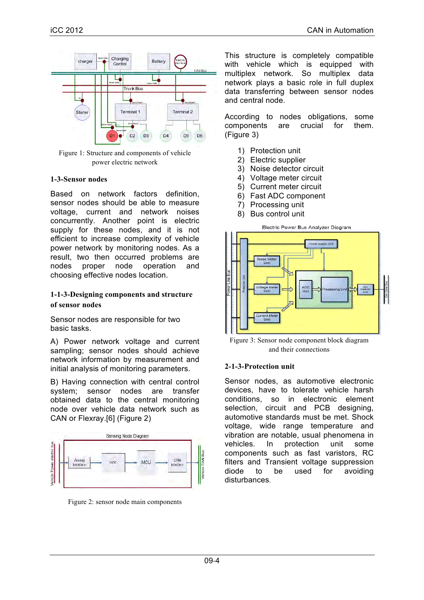

Figure 1: Structure and components of vehicle power electric network

#### **1-3-Sensor nodes**

Based on network factors definition, sensor nodes should be able to measure voltage, current and network noises concurrently. Another point is electric supply for these nodes, and it is not efficient to increase complexity of vehicle power network by monitoring nodes. As a result, two then occurred problems are nodes proper node operation and choosing effective nodes location.

#### **1-1-3-Designing components and structure of sensor nodes**

Sensor nodes are responsible for two basic tasks.

A) Power network voltage and current sampling; sensor nodes should achieve network information by measurement and initial analysis of monitoring parameters.

B) Having connection with central control system; sensor nodes are transfer obtained data to the central monitoring node over vehicle data network such as CAN or Flexray.[6] (Figure 2)



Figure 2: sensor node main components

This structure is completely compatible with vehicle which is equipped with multiplex network. So multiplex data network plays a basic role in full duplex data transferring between sensor nodes and central node.

According to nodes obligations, some components are crucial for them. (Figure 3)

- 1) Protection unit
- 2) Electric supplier
- 3) Noise detector circuit
- 4) Voltage meter circuit
- 5) Current meter circuit
- 6) Fast ADC component
- 7) Processing unit
- 8) Bus control unit



Figure 3: Sensor node component block diagram and their connections

## **2-1-3-Protection unit**

Sensor nodes, as automotive electronic devices, have to tolerate vehicle harsh conditions, so in electronic element selection, circuit and PCB designing, automotive standards must be met. Shock voltage, wide range temperature and vibration are notable, usual phenomena in vehicles. In protection unit some components such as fast varistors, RC filters and Transient voltage suppression diode to be used for avoiding disturbances.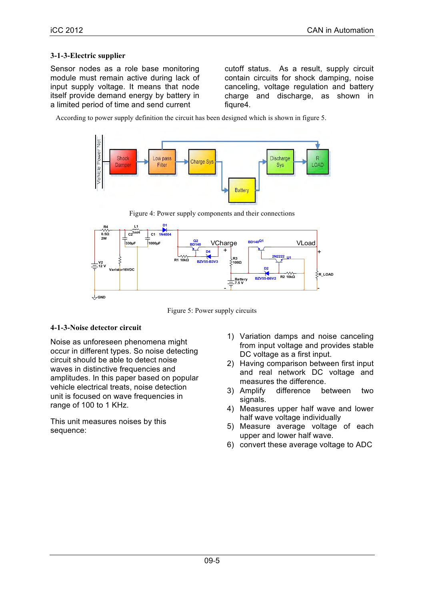#### **3-1-3-Electric supplier**

Sensor nodes as a role base monitoring module must remain active during lack of input supply voltage. It means that node itself provide demand energy by battery in a limited period of time and send current

cutoff status. As a result, supply circuit contain circuits for shock damping, noise canceling, voltage regulation and battery charge and discharge, as shown in fiqure4.

According to power supply definition the circuit has been designed which is shown in figure 5.



Figure 4: Power supply components and their connections



Figure 5: Power supply circuits

## **4-1-3-Noise detector circuit**

Noise as unforeseen phenomena might occur in different types. So noise detecting circuit should be able to detect noise waves in distinctive frequencies and amplitudes. In this paper based on popular vehicle electrical treats, noise detection unit is focused on wave frequencies in range of 100 to 1 KHz.

This unit measures noises by this sequence:

- 1) Variation damps and noise canceling from input voltage and provides stable DC voltage as a first input.
- 2) Having comparison between first input and real network DC voltage and measures the difference.
- 3) Amplify difference between two signals.
- 4) Measures upper half wave and lower half wave voltage individually
- 5) Measure average voltage of each upper and lower half wave.
- 6) convert these average voltage to ADC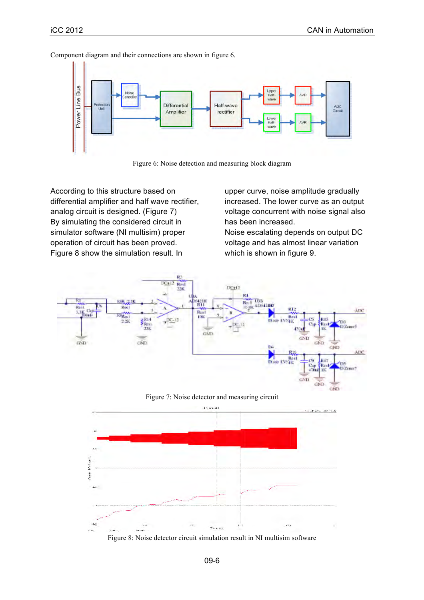

Component diagram and their connections are shown in figure 6.



According to this structure based on differential amplifier and half wave rectifier, analog circuit is designed. (Figure 7) By simulating the considered circuit in simulator software (NI multisim) proper operation of circuit has been proved. Figure 8 show the simulation result. In

upper curve, noise amplitude gradually increased. The lower curve as an output voltage concurrent with noise signal also has been increased.

Noise escalating depends on output DC voltage and has almost linear variation which is shown in figure 9.







Figure 8: Noise detector circuit simulation result in NI multisim software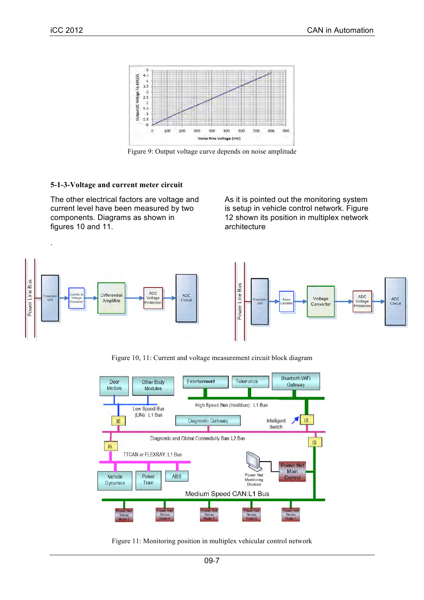.



Figure 9: Output voltage curve depends on noise amplitude

## **5-1-3-Voltage and current meter circuit**

The other electrical factors are voltage and current level have been measured by two components. Diagrams as shown in figures 10 and 11.

As it is pointed out the monitoring system is setup in vehicle control network. Figure 12 shown its position in multiplex network architecture





Figure 10, 11: Current and voltage measurement circuit block diagram



Figure 11: Monitoring position in multiplex vehicular control network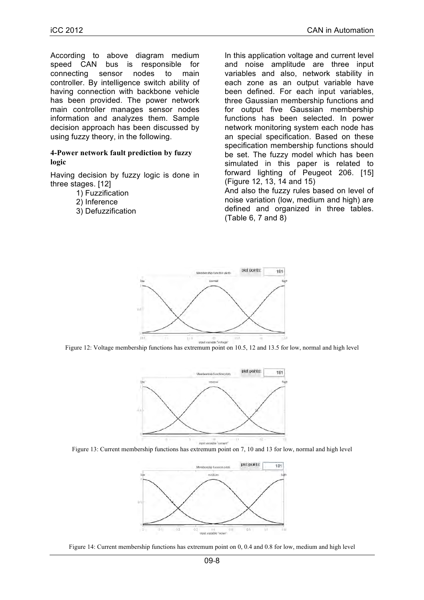According to above diagram medium speed CAN bus is responsible for connecting sensor nodes to main controller. By intelligence switch ability of having connection with backbone vehicle has been provided. The power network main controller manages sensor nodes information and analyzes them. Sample decision approach has been discussed by using fuzzy theory, in the following.

#### **4-Power network fault prediction by fuzzy logic**

Having decision by fuzzy logic is done in three stages. [12]

1) Fuzzification

2) Inference

3) Defuzzification

In this application voltage and current level and noise amplitude are three input variables and also, network stability in each zone as an output variable have been defined. For each input variables, three Gaussian membership functions and for output five Gaussian membership functions has been selected. In power network monitoring system each node has an special specification. Based on these specification membership functions should be set. The fuzzy model which has been simulated in this paper is related to forward lighting of Peugeot 206. [15] (Figure 12, 13, 14 and 15)

And also the fuzzy rules based on level of noise variation (low, medium and high) are defined and organized in three tables. (Table 6, 7 and 8)



Figure 12: Voltage membership functions has extremum point on 10.5, 12 and 13.5 for low, normal and high level







Figure 14: Current membership functions has extremum point on 0, 0.4 and 0.8 for low, medium and high level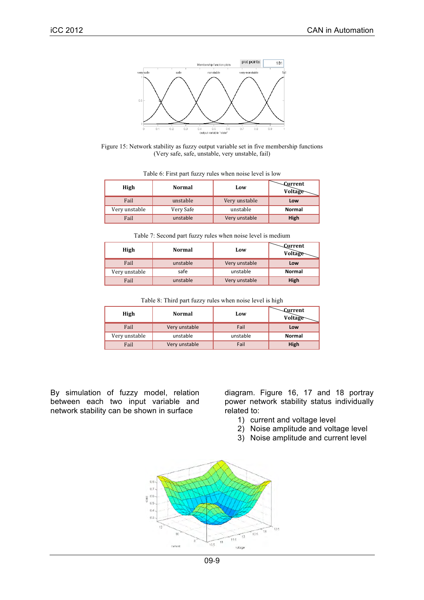

Figure 15: Network stability as fuzzy output variable set in five membership functions (Very safe, safe, unstable, very unstable, fail)

| <b>Exail</b> anstable Very unstable <b>Low</b>                                   |  |  |
|----------------------------------------------------------------------------------|--|--|
|                                                                                  |  |  |
|                                                                                  |  |  |
|                                                                                  |  |  |
|                                                                                  |  |  |
|                                                                                  |  |  |
|                                                                                  |  |  |
|                                                                                  |  |  |
|                                                                                  |  |  |
| ,我们也不能会有什么。""我们的人,我们也不能会有什么?""我们的人,我们也不能会有什么?""我们的人,我们也不能会有什么?""我们的人,我们也不能会有什么?" |  |  |

| Table 6: First part fuzzy rules when noise level is low |  |
|---------------------------------------------------------|--|
|                                                         |  |

Table 7: Second part fuzzy rules when noise level is medium

|  |  | <sup>1</sup> <sup>Tich</sup> Normal Low Voltage                                                                                                                                                                                  |
|--|--|----------------------------------------------------------------------------------------------------------------------------------------------------------------------------------------------------------------------------------|
|  |  |                                                                                                                                                                                                                                  |
|  |  |                                                                                                                                                                                                                                  |
|  |  |                                                                                                                                                                                                                                  |
|  |  | a and the state of the state of the state of the state of the state of the state of the state of the state of t<br>State of the state of the state of the state of the state of the state of the state of the state of the state |
|  |  |                                                                                                                                                                                                                                  |
|  |  | Very unstable safe and safe and safe and the same of the safe and the safe and the same safe and the same of the same safe and the same safe and the same safe and the same safe and the same safe and the same safe and the s   |
|  |  |                                                                                                                                                                                                                                  |
|  |  | Fail anstable Very unstable High                                                                                                                                                                                                 |
|  |  |                                                                                                                                                                                                                                  |

Table 8: Third part fuzzy rules when noise level is high

By simulation of fuzzy model, relation between each two input variable and network stability can be shown in surface

diagram. Figure 16, 17 and 18 portray power network stability status individually related to:

- 1) current and voltage level
- 2) Noise amplitude and voltage level
- 3) Noise amplitude and current level



09-9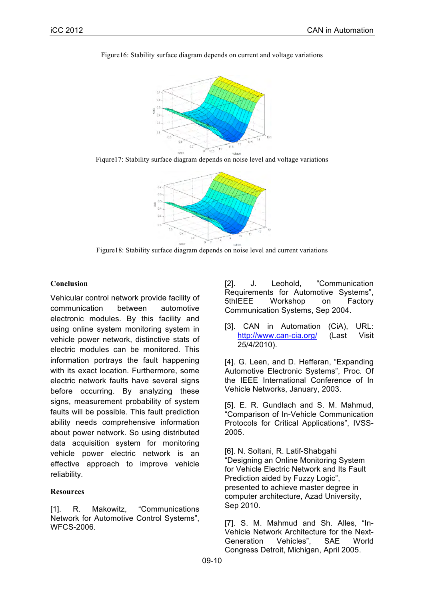

Figure16: Stability surface diagram depends on current and voltage variations

Fiqure17: Stability surface diagram depends on noise level and voltage variations



Figure18: Stability surface diagram depends on noise level and current variations

# **Conclusion**

Vehicular control network provide facility of communication between automotive electronic modules. By this facility and using online system monitoring system in vehicle power network, distinctive stats of electric modules can be monitored. This information portrays the fault happening with its exact location. Furthermore, some electric network faults have several signs before occurring. By analyzing these signs, measurement probability of system faults will be possible. This fault prediction ability needs comprehensive information about power network. So using distributed data acquisition system for monitoring vehicle power electric network is an effective approach to improve vehicle reliability.

## **Resources**

[1]. R. Makowitz, "Communications Network for Automotive Control Systems", WFCS-2006.

[2]. J. Leohold. "Communication Requirements for Automotive Systems", 5thIEEE Workshop on Factory Communication Systems, Sep 2004.

[3]. CAN in Automation (CiA), URL: http://www.can-cia.org/ (Last Visit 25/4/2010).

[4]. G. Leen, and D. Hefferan, "Expanding Automotive Electronic Systems", Proc. Of the IEEE International Conference of In Vehicle Networks, January, 2003.

[5]. E. R. Gundlach and S. M. Mahmud, "Comparison of In-Vehicle Communication Protocols for Critical Applications", IVSS-2005.

[6]. N. Soltani, R. Latif-Shabgahi "Designing an Online Monitoring System for Vehicle Electric Network and Its Fault Prediction aided by Fuzzy Logic", presented to achieve master degree in computer architecture, Azad University, Sep 2010.

[7]. S. M. Mahmud and Sh. Alles, "In-Vehicle Network Architecture for the Next-Generation Vehicles", SAE World Congress Detroit, Michigan, April 2005.